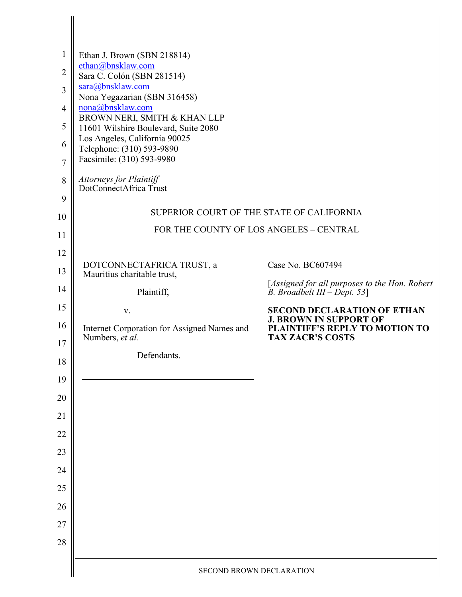| $\mathbf{1}$<br>2<br>3<br>$\overline{4}$<br>5<br>6<br>7<br>8<br>9 | Ethan J. Brown (SBN 218814)<br>ethan@bnsklaw.com<br>Sara C. Colón (SBN 281514)<br>sara@bnsklaw.com<br>Nona Yegazarian (SBN 316458)<br>nona@bnsklaw.com<br>BROWN NERI, SMITH & KHAN LLP<br>11601 Wilshire Boulevard, Suite 2080<br>Los Angeles, California 90025<br>Telephone: (310) 593-9890<br>Facsimile: (310) 593-9980<br>Attorneys for Plaintiff<br>DotConnectAfrica Trust |                                                                                            |
|-------------------------------------------------------------------|--------------------------------------------------------------------------------------------------------------------------------------------------------------------------------------------------------------------------------------------------------------------------------------------------------------------------------------------------------------------------------|--------------------------------------------------------------------------------------------|
| 10                                                                | SUPERIOR COURT OF THE STATE OF CALIFORNIA                                                                                                                                                                                                                                                                                                                                      |                                                                                            |
| 11                                                                | FOR THE COUNTY OF LOS ANGELES - CENTRAL                                                                                                                                                                                                                                                                                                                                        |                                                                                            |
| 12<br>13                                                          | DOTCONNECTAFRICA TRUST, a<br>Mauritius charitable trust,                                                                                                                                                                                                                                                                                                                       | Case No. BC607494                                                                          |
| 14                                                                | Plaintiff,                                                                                                                                                                                                                                                                                                                                                                     | [Assigned for all purposes to the Hon. Robert<br>B. Broadbelt III - Dept. 53]              |
| 15                                                                | V.                                                                                                                                                                                                                                                                                                                                                                             | <b>SECOND DECLARATION OF ETHAN</b>                                                         |
| 16<br>17                                                          | Internet Corporation for Assigned Names and<br>Numbers, et al.                                                                                                                                                                                                                                                                                                                 | <b>J. BROWN IN SUPPORT OF</b><br>PLAINTIFF'S REPLY TO MOTION TO<br><b>TAX ZACR'S COSTS</b> |
| 18                                                                | Defendants.                                                                                                                                                                                                                                                                                                                                                                    |                                                                                            |
| 19                                                                |                                                                                                                                                                                                                                                                                                                                                                                |                                                                                            |
| 20                                                                |                                                                                                                                                                                                                                                                                                                                                                                |                                                                                            |
| 21                                                                |                                                                                                                                                                                                                                                                                                                                                                                |                                                                                            |
| 22                                                                |                                                                                                                                                                                                                                                                                                                                                                                |                                                                                            |
| 23                                                                |                                                                                                                                                                                                                                                                                                                                                                                |                                                                                            |
| 24                                                                |                                                                                                                                                                                                                                                                                                                                                                                |                                                                                            |
| 25                                                                |                                                                                                                                                                                                                                                                                                                                                                                |                                                                                            |
| 26                                                                |                                                                                                                                                                                                                                                                                                                                                                                |                                                                                            |
| 27                                                                |                                                                                                                                                                                                                                                                                                                                                                                |                                                                                            |
| 28                                                                |                                                                                                                                                                                                                                                                                                                                                                                |                                                                                            |
|                                                                   | SECOND BROWN DECLARATION                                                                                                                                                                                                                                                                                                                                                       |                                                                                            |